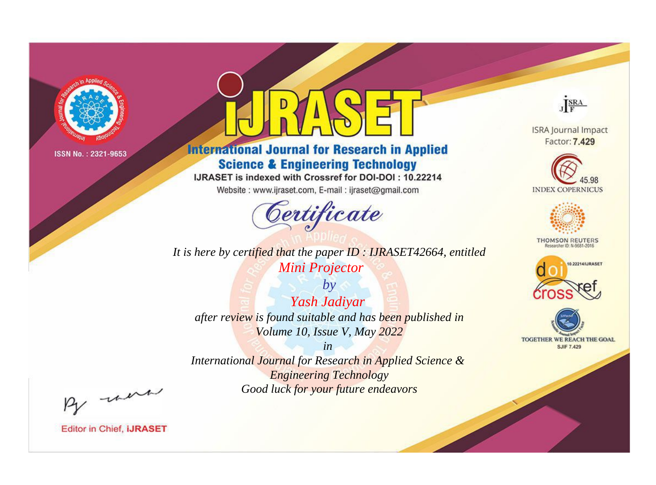

# **International Journal for Research in Applied Science & Engineering Technology**

IJRASET is indexed with Crossref for DOI-DOI: 10.22214

Website: www.ijraset.com, E-mail: ijraset@gmail.com



*It is here by certified that the paper ID : IJRASET42664, entitled Mini Projector*

*by Yash Jadiyar after review is found suitable and has been published in Volume 10, Issue V, May 2022*

*in Engineering Technology Good luck for your future endeavors*

By morn

**Editor in Chief, IJRASET** 

**ISRA Journal Impact** Factor: 7.429

JERA





**THOMSON REUTERS** 



TOGETHER WE REACH THE GOAL **SJIF 7.429** 

*International Journal for Research in Applied Science &*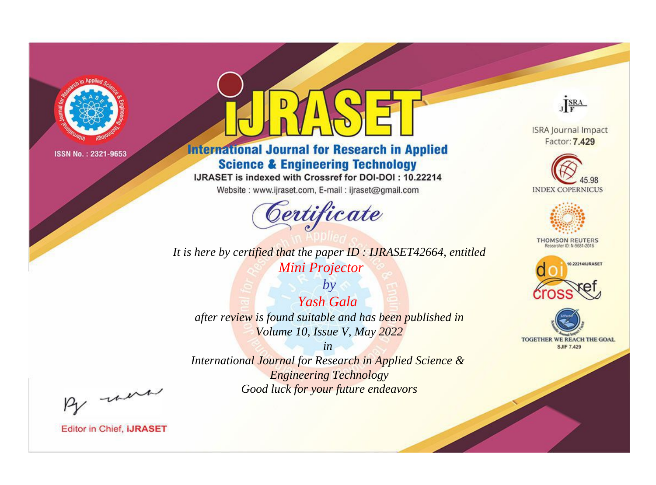

# **International Journal for Research in Applied Science & Engineering Technology**

IJRASET is indexed with Crossref for DOI-DOI: 10.22214

Website: www.ijraset.com, E-mail: ijraset@gmail.com



*It is here by certified that the paper ID : IJRASET42664, entitled Mini Projector*

*by Yash Gala after review is found suitable and has been published in Volume 10, Issue V, May 2022*

*in International Journal for Research in Applied Science & Engineering Technology Good luck for your future endeavors*



**Editor in Chief, IJRASET** 

**ISRA Journal Impact** Factor: 7.429

JERA





**THOMSON REUTERS** 



TOGETHER WE REACH THE GOAL **SJIF 7.429**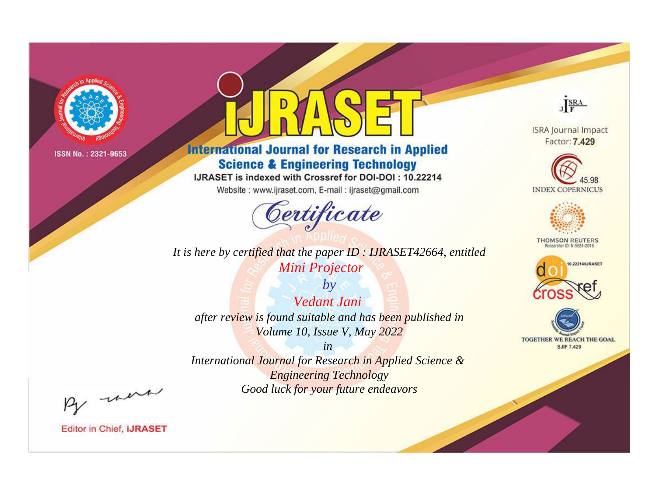

# **International Journal for Research in Applied Science & Engineering Technology**

IJRASET is indexed with Crossref for DOI-DOI: 10.22214

Website: www.ijraset.com, E-mail: ijraset@gmail.com



*It is here by certified that the paper ID : IJRASET42664, entitled Mini Projector*

*by Vedant Jani after review is found suitable and has been published in Volume 10, Issue V, May 2022*

*in International Journal for Research in Applied Science & Engineering Technology Good luck for your future endeavors*



**Editor in Chief, IJRASET** 

**ISRA Journal Impact** Factor: 7.429

JERA





**THOMSON REUTERS** 



TOGETHER WE REACH THE GOAL **SJIF 7.429**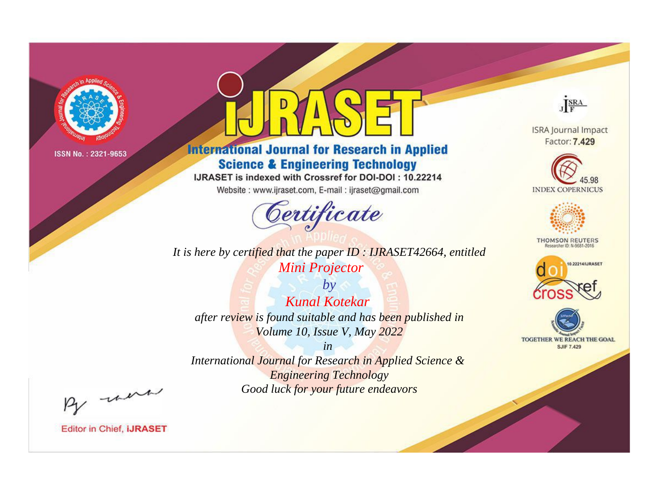

# **International Journal for Research in Applied Science & Engineering Technology**

IJRASET is indexed with Crossref for DOI-DOI: 10.22214

Website: www.ijraset.com, E-mail: ijraset@gmail.com



It is here by certified that the paper ID: IJRASET42664, entitled Mini Projector

 $by$ **Kunal Kotekar** after review is found suitable and has been published in Volume 10, Issue V, May 2022

 $in$ International Journal for Research in Applied Science & **Engineering Technology** Good luck for your future endeavors



**ISRA Journal Impact** Factor: 7.429





**THOMSON REUTERS** 



TOGETHER WE REACH THE GOAL **SJIF 7.429** 

By morn

**Editor in Chief, IJRASET**